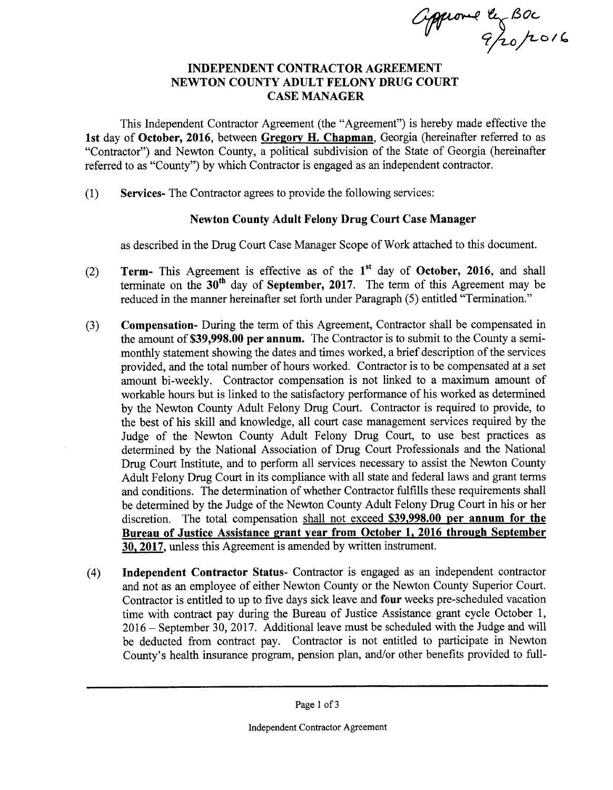approved ly Boc

## INDEPENDENT CONTRACTOR AGREEMENT NEWTON COUNTY ADULT FELONY DRUG COURT CASE MANAGER

This Independent Contractor Agreement (the " Agreement") is hereby made effective the 1st day of October, 2016, between Gregory H. Chapman, Georgia (hereinafter referred to as Contractor") and Newton County, a political subdivision of the State of Georgia ( hereinafter referred to as "County") by which Contractor is engaged as an independent contractor.

1) Services- The Contractor agrees to provide the following services:

## Newton County Adult Felony Drug Court Case Manager

as described in the Drug Court Case Manager Scope of Work attached to this document.

- 2) **Term-** This Agreement is effective as of the  $1<sup>st</sup>$  day of October, 2016, and shall terminate on the  $30<sup>th</sup>$  day of September, 2017. The term of this Agreement may be reduced in the manner hereinafter set forth under Paragraph (5) entitled "Termination."
- 3) Compensation- During the term of this Agreement, Contractor shall be compensated in the amount of \$39,998.00 per annum. The Contractor is to submit to the County a semimonthly statement showing the dates and times worked, a brief description of the services provided, and the total number of hours worked. Contractor is to be compensated at a set amount bi-weekly. Contractor compensation is not linked to <sup>a</sup> maximum amount of workable hours but is linked to the satisfactory performance of his worked as determined by the Newton County Adult Felony Drug Court. Contractor is required to provide, to the best of his skill and knowledge, all court case management services required by the Judge of the Newton County Adult Felony Drug Court, to use best practices as determined by the National Association of Drug Court Professionals and the National Drug Court Institute, and to perform all services necessary to assist the Newton County Adult Felony Drug Court in its compliance with all state and federal laws and grant terms and conditions. The determination of whether Contractor fulfills these requirements shall be determined by the Judge of the Newton County Adult Felony Drug Court in his or her discretion. The total compensation shall not exceed \$39,998.00 per annum for the Bureau of Justice Assistance grant year from October 1, 2016 through September 30, 2017, unless this Agreement is amended by written instrument.
- 4) Independent Contractor Status- Contractor is engaged as an independent contractor and not as an employee of either Newton County or the Newton County Superior Court. Contractor is entitled to up to five days sick leave and four weeks pre-scheduled vacation time with contract pay during the Bureau of Justice Assistance grant cycle October 1, 2016— September 30, 2017. Additional leave must be scheduled with the Judge and will be deducted from contract pay. Contractor is not entitled to participate in Newton County's health insurance program, pension plan, and/or other benefits provided to full-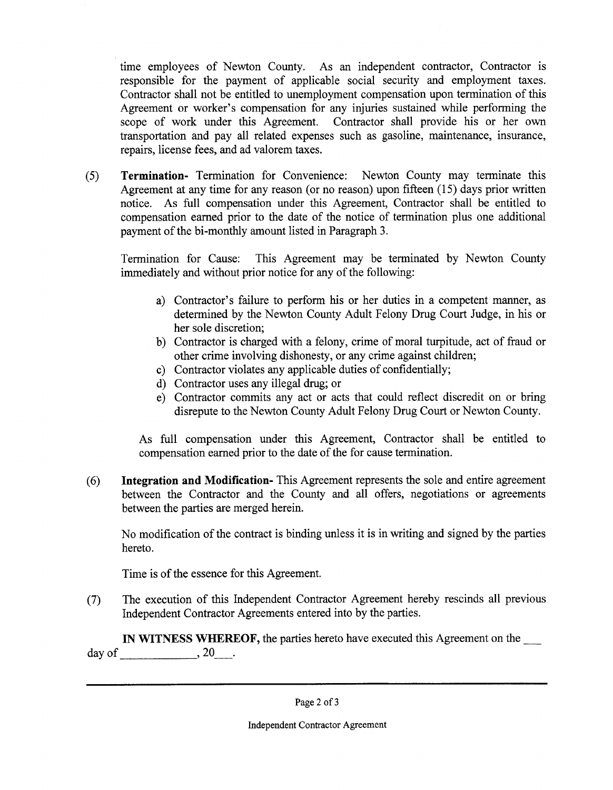time employees of Newton County. As an independent contractor, Contractor is responsible for the payment of applicable social security and employment taxes. Contractor shall not be entitled to unemployment compensation upon termination of this Agreement or worker's compensation for any injuries sustained while performing the scope of work under this Agreement. Contractor shall provide his or her own transportation and pay all related expenses such as gasoline, maintenance, insurance, repairs, license fees, and ad valorem taxes.

5) Termination- Termination for Convenience: Newton County may terminate this Agreement at any time for any reason (or no reason) upon fifteen  $(15)$  days prior written notice. As full compensation under this Agreement, Contractor shall be entitled to compensation earned prior to the date of the notice of termination plus one additional payment of the bi-monthly amount listed in Paragraph 3.

Termination for Cause: This Agreement may be terminated by Newton County immediately and without prior notice for any of the following:

- a) Contractor's failure to perform his or her duties in a competent manner, as determined by the Newton County Adult Felony Drug Court Judge, in his or her sole discretion;
- b) Contractor is charged with a felony, crime of moral turpitude, act of fraud or other crime involving dishonesty, or any crime against children;
- c) Contractor violates any applicable duties of confidentially;
- d) Contractor uses any illegal drug; or
- e) Contractor commits any act or acts that could reflect discredit on or bring disrepute to the Newton County Adult Felony Drug Court or Newton County.

As full compensation under this Agreement, Contractor shall be entitled to compensation earned prior to the date of the for cause termination.

6) Integration and Modification- This Agreement represents the sole and entire agreement between the Contractor and the County and all offers, negotiations or agreements between the parties are merged herein.

No modification of the contract is binding unless it is in writing and signed by the parties hereto.

Time is of the essence for this Agreement.

7) The execution of this Independent Contractor Agreement hereby rescinds all previous Independent Contractor Agreements entered into by the parties.

IN WITNESS WHEREOF, the parties hereto have executed this Agreement on the day of  $\qquad \qquad .20...$